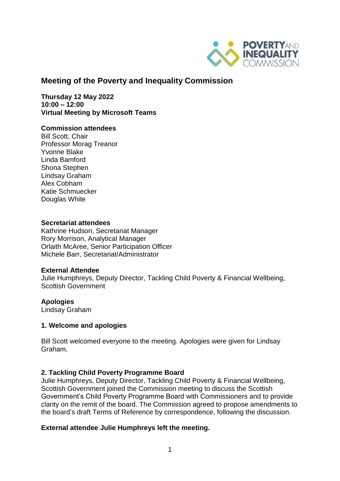

# **Meeting of the Poverty and Inequality Commission**

**Thursday 12 May 2022 10:00 – 12:00 Virtual Meeting by Microsoft Teams** 

#### **Commission attendees**

Bill Scott, Chair Professor Morag Treanor Yvonne Blake Linda Bamford Shona Stephen Lindsay Graham Alex Cobham Katie Schmuecker Douglas White

#### **Secretariat attendees**

Kathrine Hudson, Secretariat Manager Rory Morrison, Analytical Manager Orlaith McAree, Senior Participation Officer Michele Barr, Secretariat/Administrator

#### **External Attendee**

Julie Humphreys, Deputy Director, Tackling Child Poverty & Financial Wellbeing, Scottish Government

### **Apologies**

Lindsay Graham

### **1. Welcome and apologies**

Bill Scott welcomed everyone to the meeting. Apologies were given for Lindsay Graham.

### **2. Tackling Child Poverty Programme Board**

Julie Humphreys, Deputy Director, Tackling Child Poverty & Financial Wellbeing, Scottish Government joined the Commission meeting to discuss the Scottish Government's Child Poverty Programme Board with Commissioners and to provide clarity on the remit of the board. The Commission agreed to propose amendments to the board's draft Terms of Reference by correspondence, following the discussion.

### **External attendee Julie Humphreys left the meeting.**